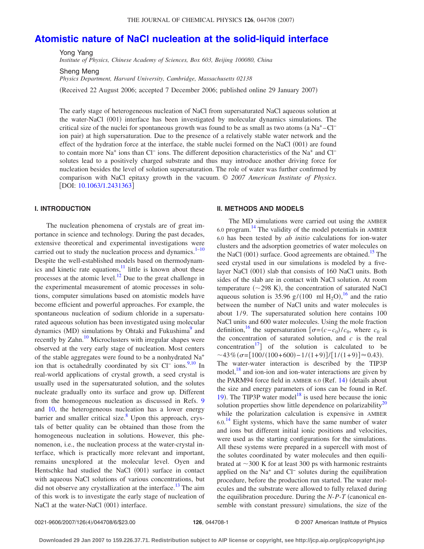#### THE JOURNAL OF CHEMICAL PHYSICS 126, 044708 (2007)

# **[Atomistic nature of NaCl nucleation at the solid-liquid interface](http://dx.doi.org/10.1063/1.2431363)**

Yong Yang *Institute of Physics, Chinese Academy of Sciences, Box 603, Beijing 100080, China*

Sheng Meng

*Physics Department, Harvard University, Cambridge, Massachusetts 02138*

Received 22 August 2006; accepted 7 December 2006; published online 29 January 2007-

The early stage of heterogeneous nucleation of NaCl from supersaturated NaCl aqueous solution at the water-NaCl (001) interface has been investigated by molecular dynamics simulations. The critical size of the nuclei for spontaneous growth was found to be as small as two atoms (a Na<sup>+</sup> $-$ Cl<sup>−</sup> ion pair) at high supersaturation. Due to the presence of a relatively stable water network and the effect of the hydration force at the interface, the stable nuclei formed on the NaCl (001) are found to contain more Na<sup>+</sup> ions than Cl<sup>−</sup> ions. The different deposition characteristics of the Na<sup>+</sup> and Cl<sup>−</sup> solutes lead to a positively charged substrate and thus may introduce another driving force for nucleation besides the level of solution supersaturation. The role of water was further confirmed by comparison with NaCl epitaxy growth in the vacuum. © *2007 American Institute of Physics*. [DOI: [10.1063/1.2431363](http://dx.doi.org/10.1063/1.2431363)]

### **I. INTRODUCTION**

The nucleation phenomena of crystals are of great importance in science and technology. During the past decades, extensive theoretical and experimental investigations were carried out to study the nucleation process and dynamics. $1-10$  $1-10$ Despite the well-established models based on thermodynam- $\frac{1}{2}$  ics and kinetic rate equations,<sup>11</sup> little is known about these processes at the atomic level. $\frac{12}{2}$  Due to the great challenge in the experimental measurement of atomic processes in solutions, computer simulations based on atomistic models have become efficient and powerful approaches. For example, the spontaneous nucleation of sodium chloride in a supersaturated aqueous solution has been investigated using molecular dynamics (MD) simulations by Ohtaki and Fukushima<sup>9</sup> and recently by Zahn.<sup>10</sup> Microclusters with irregular shapes were observed at the very early stage of nucleation. Most centers of the stable aggregates were found to be a nonhydrated Na+ ion that is octahedrally coordinated by six Cl<sup>−</sup> ions.<sup>9,[10](#page-4-1)</sup> In real-world applications of crystal growth, a seed crystal is usually used in the supersaturated solution, and the solutes nucleate gradually onto its surface and grow up. Different from the homogeneous nucleation as discussed in Refs. [9](#page-4-4) and [10,](#page-4-1) the heterogeneous nucleation has a lower energy barrier and smaller critical size. $8$  Upon this approach, crystals of better quality can be obtained than those from the homogeneous nucleation in solutions. However, this phenomenon, i.e., the nucleation process at the water-crystal interface, which is practically more relevant and important, remains unexplored at the molecular level. Oyen and Hentschke had studied the NaCl (001) surface in contact with aqueous NaCl solutions of various concentrations, but did not observe any crystallization at the interface.<sup>13</sup> The aim of this work is to investigate the early stage of nucleation of NaCl at the water-NaCl (001) interface.

### **II. METHODS AND MODELS**

The MD simulations were carried out using the AMBER 6.0 program. [14](#page-4-7) The validity of the model potentials in AMBER 6.0 has been tested by *ab initio* calculations for ion-water clusters and the adsorption geometries of water molecules on the NaCl (001) surface. Good agreements are obtained.<sup>15</sup> The seed crystal used in our simulations is modeled by a fivelayer NaCl (001) slab that consists of 160 NaCl units. Both sides of the slab are in contact with NaCl solution. At room temperature  $(\sim 298 \text{ K})$ , the concentration of saturated NaCl aqueous solution is 35.96  $g/(100 \text{ ml H}_2\text{O})$ ,<sup>[16](#page-4-9)</sup> and the ratio between the number of NaCl units and water molecules is about 1/9. The supersaturated solution here contains 100 NaCl units and 600 water molecules. Using the mole fraction definition,<sup>16</sup> the supersaturation  $\left[\sigma = (c - c_0)/c_0, \text{ where } c_0 \text{ is} \right]$ the concentration of saturated solution, and *c* is the real concentration<sup>17</sup> of the solution is calculated to be  $\sim$ 43% ( $\sigma$ =[100/(100+600)-1/(1+9)]/[1/(1+9)]≈0.43). The water-water interaction is described by the TIP3P model, $18$  and ion-ion and ion-water interactions are given by the PARM94 force field in AMBER 6.0 (Ref. [14](#page-4-7)) (details about the size and energy parameters of ions can be found in Ref. [19](#page-4-12)). The TIP3P water model<sup>18</sup> is used here because the ionic solution properties show little dependence on polarizability<sup>20</sup> while the polarization calculation is expensive in AMBER  $6.0$ .<sup>[14](#page-4-7)</sup> Eight systems, which have the same number of water and ions but different initial ionic positions and velocities, were used as the starting configurations for the simulations. All these systems were prepared in a supercell with most of the solutes coordinated by water molecules and then equilibrated at  $\sim$ 300 K for at least 300 ps with harmonic restraints applied on the Na+ and Cl− solutes during the equilibration procedure, before the production run started. The water molecules and the substrate were allowed to fully relaxed during the equilibration procedure. During the *N*-*P*-*T* canonical en-

semble with constant pressure) simulations, the size of the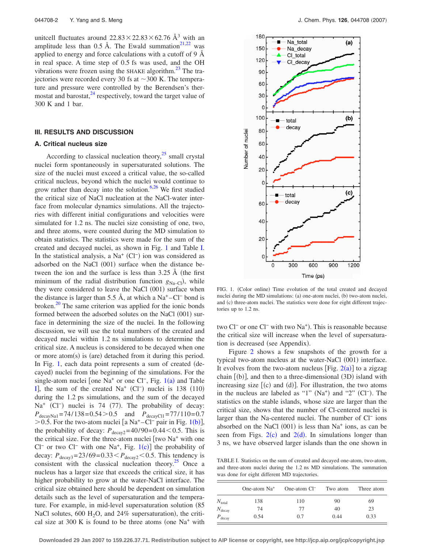unitcell fluctuates around  $22.83 \times 22.83 \times 62.76$  Å<sup>3</sup> with an amplitude less than 0.5 Å. The Ewald summation $^{21,22}$  $^{21,22}$  $^{21,22}$  was applied to energy and force calculations with a cutoff of 9  $\AA$ in real space. A time step of 0.5 fs was used, and the OH vibrations were frozen using the SHAKE algorithm. $^{23}$  The trajectories were recorded every 30 fs at  $\sim$  300 K. The temperature and pressure were controlled by the Berendsen's thermostat and barostat, $^{24}$  respectively, toward the target value of 300 K and 1 bar.

### **III. RESULTS AND DISCUSSION**

## **A. Critical nucleus size**

According to classical nucleation theory, $^{25}$  small crystal nuclei form spontaneously in supersaturated solutions. The size of the nuclei must exceed a critical value, the so-called critical nucleus, beyond which the nuclei would continue to grow rather than decay into the solution.<sup>6,[26](#page-5-5)</sup> We first studied the critical size of NaCl nucleation at the NaCl-water interface from molecular dynamics simulations. All the trajectories with different initial configurations and velocities were simulated for 1.2 ns. The nuclei size consisting of one, two, and three atoms, were counted during the MD simulation to obtain statistics. The statistics were made for the sum of the created and decayed nuclei, as shown in Fig. [1](#page-1-0) and Table [I.](#page-1-1) In the statistical analysis, a Na<sup>+</sup> (Cl<sup>−</sup>) ion was considered as adsorbed on the NaCl (001) surface when the distance between the ion and the surface is less than  $3.25 \text{ Å}$  (the first minimum of the radial distribution function  $g_{Na-Cl}$ ), while they were considered to leave the NaCl (001) surface when the distance is larger than 5.5 Å, at which a  $Na^+ - Cl^-$  bond is broken. $^{20}$  The same criterion was applied for the ionic bonds formed between the adsorbed solutes on the NaCl (001) surface in determining the size of the nuclei. In the following discussion, we will use the total numbers of the created and decayed nuclei within 1.2 ns simulations to determine the critical size. A nucleus is considered to be decayed when one or more atom(s) is (are) detached from it during this period. In Fig. [1,](#page-1-0) each data point represents a sum of created (decayed) nuclei from the beginning of the simulations. For the single-atom nuclei [one Na<sup>+</sup> or one Cl<sup>−</sup>, Fig. [1](#page-1-0)(a) and Table [I](#page-1-1)], the sum of the created Na<sup>+</sup> (Cl<sup>-</sup>) nuclei is 138 (110) during the 1.2 ps simulations, and the sum of the decayed Na<sup>+</sup> (Cl<sup>−</sup>) nuclei is 74 (77). The probability of decay:  $P_{\text{decayNa1}} = 74/138 = 0.54 > 0.5$  and  $P_{\text{decayC11}} = 77/110 = 0.7$ >0.5. For the two-atom nuclei [a Na<sup>+</sup>-Cl<sup>−</sup> pair in Fig. [1](#page-1-0)(b)], the probability of decay:  $P_{\text{decay2}} = 40/90 = 0.44 \le 0.5$ . This is the critical size. For the three-atom nuclei  $\lceil$  two Na<sup>+</sup> with one Cl<sup>−</sup> or two Cl<sup>−</sup> with one Na<sup>+</sup>, Fig. [1](#page-1-0)(c)] the probability of decay:  $P_{\text{decay3}} = 23/69 = 0.33 < P_{\text{decay2}} < 0.5$ . This tendency is consistent with the classical nucleation theory.<sup>25</sup> Once a nucleus has a larger size that exceeds the critical size, it has higher probability to grow at the water-NaCl interface. The critical size obtained here should be dependent on simulation details such as the level of supersaturation and the temperature. For example, in mid-level supersaturation solution (85) NaCl solutes,  $600 \text{ H}_2\text{O}$ , and  $24\%$  supersaturation), the critical size at 300 K is found to be three atoms (one  $Na<sup>+</sup>$  with

<span id="page-1-0"></span>

FIG. 1. (Color online) Time evolution of the total created and decayed nuclei during the MD simulations: (a) one-atom nuclei, (b) two-atom nuclei, and (c) three-atom nuclei. The statistics were done for eight different trajectories up to 1.2 ns.

two Cl<sup>−</sup> or one Cl<sup>−</sup> with two Na<sup>+</sup>). This is reasonable because the critical size will increase when the level of supersaturation is decreased (see Appendix).

Figure [2](#page-2-0) shows a few snapshots of the growth for a typical two-atom nucleus at the water-NaCl (001) interface. It evolves from the two-atom nucleus [Fig.  $2(a)$  $2(a)$ ] to a zigzag chain  $[$ (b) $]$ , and then to a three-dimensional  $(3D)$  island with increasing size  $(c)$  and  $(d)$ ]. For illustration, the two atoms in the nucleus are labeled as "1"  $(Na^{+})$  and "2"  $(Cl^{-})$ . The statistics on the stable islands, whose size are larger than the critical size, shows that the number of Cl-centered nuclei is larger than the Na-centered nuclei. The number of Cl− ions absorbed on the NaCl  $(001)$  is less than Na<sup>+</sup> ions, as can be seen from Figs.  $2(c)$  $2(c)$  and  $2(d)$ . In simulations longer than 3 ns, we have observed larger islands than the one shown in

<span id="page-1-1"></span>TABLE I. Statistics on the sum of created and decayed one-atom, two-atom, and three-atom nuclei during the 1.2 ns MD simulations. The summation was done for eight different MD trajectories.

|                    | One-atom $Na+$ | One-atom $Cl^-$ | Two atom | Three atom |
|--------------------|----------------|-----------------|----------|------------|
| $N_{\text{total}}$ | 138            | 110             | 90       | 69         |
| $N_{\text{decay}}$ | 74             | 77              | 40       | 23         |
| $P_{\text{decay}}$ | 0.54           | 0.7             | 0.44     | 0.33       |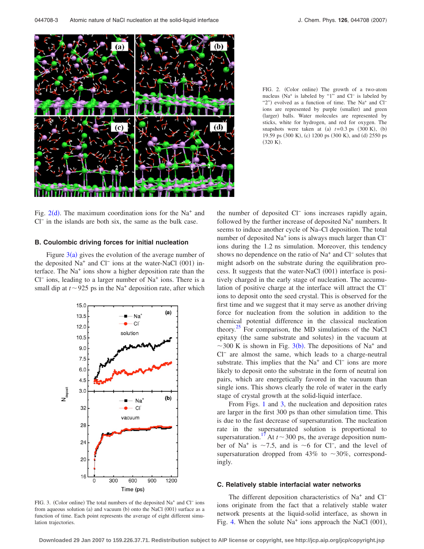<span id="page-2-0"></span>

FIG. 2. (Color online) The growth of a two-atom nucleus Na+ is labeled by "1" and Cl− is labeled by "2") evolved as a function of time. The Na<sup>+</sup> and Cl<sup>-</sup> ions are represented by purple (smaller) and green (larger) balls. Water molecules are represented by sticks, white for hydrogen, and red for oxygen. The snapshots were taken at (a)  $t=0.3$  ps  $(300 \text{ K})$ , (b) 19.59 ps (300 K), (c) 1200 ps (300 K), and (d) 2550 ps  $(320 K).$ 

Fig.  $2(d)$  $2(d)$ . The maximum coordination ions for the Na<sup>+</sup> and Cl<sup>−</sup> in the islands are both six, the same as the bulk case.

### **B. Coulombic driving forces for initial nucleation**

Figure  $3(a)$  $3(a)$  gives the evolution of the average number of the deposited Na<sup>+</sup> and Cl<sup>−</sup> ions at the water-NaCl (001) interface. The Na+ ions show a higher deposition rate than the Cl− ions, leading to a larger number of Na+ ions. There is a small dip at  $t \sim 925$  ps in the Na<sup>+</sup> deposition rate, after which

<span id="page-2-1"></span>

FIG. 3. (Color online) The total numbers of the deposited Na<sup>+</sup> and Cl<sup>−</sup> ions from aqueous solution (a) and vacuum (b) onto the NaCl (001) surface as a function of time. Each point represents the average of eight different simulation trajectories.

the number of deposited Cl− ions increases rapidly again, followed by the further increase of deposited Na<sup>+</sup> numbers. It seems to induce another cycle of Na–Cl deposition. The total number of deposited Na<sup>+</sup> ions is always much larger than Cl<sup>−</sup> ions during the 1.2 ns simulation. Moreover, this tendency shows no dependence on the ratio of Na+ and Cl− solutes that might adsorb on the substrate during the equilibration process. It suggests that the water-NaCl (001) interface is positively charged in the early stage of nucleation. The accumulation of positive charge at the interface will attract the Cl− ions to deposit onto the seed crystal. This is observed for the first time and we suggest that it may serve as another driving force for nucleation from the solution in addition to the chemical potential difference in the classical nucleation theory.<sup>25</sup> For comparison, the MD simulations of the NaCl epitaxy (the same substrate and solutes) in the vacuum at ~[3](#page-2-1)00 K is shown in Fig. 3(b). The depositions of Na<sup>+</sup> and Cl<sup>−</sup> are almost the same, which leads to a charge-neutral substrate. This implies that the Na<sup>+</sup> and Cl<sup>−</sup> ions are more likely to deposit onto the substrate in the form of neutral ion pairs, which are energetically favored in the vacuum than single ions. This shows clearly the role of water in the early stage of crystal growth at the solid-liquid interface.

From Figs. [1](#page-1-0) and [3,](#page-2-1) the nucleation and deposition rates are larger in the first 300 ps than other simulation time. This is due to the fast decrease of supersaturation. The nucleation rate in the supersaturated solution is proportional to supersaturation.<sup>17</sup> At  $t \sim 300$  ps, the average deposition number of Na<sup>+</sup> is ~7.5, and is ~6 for Cl<sup>−</sup>, and the level of supersaturation dropped from 43% to  $\sim$ 30%, correspondingly.

#### **C. Relatively stable interfacial water networks**

The different deposition characteristics of Na<sup>+</sup> and Cl<sup>−</sup> ions originate from the fact that a relatively stable water network presents at the liquid-solid interface, as shown in Fig. [4.](#page-3-0) When the solute  $Na<sup>+</sup>$  ions approach the NaCl  $(001)$ ,

**Downloaded 29 Jan 2007 to 159.226.37.71. Redistribution subject to AIP license or copyright, see http://jcp.aip.org/jcp/copyright.jsp**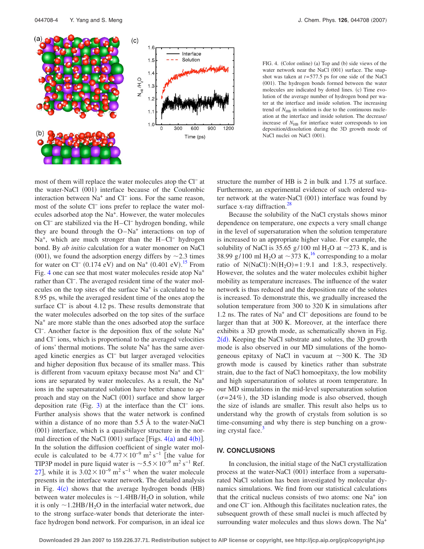<span id="page-3-0"></span>

FIG. 4. (Color online) (a) Top and (b) side views of the water network near the NaCl (001) surface. The snapshot was taken at *t*=577.5 ps for one side of the NaCl (001). The hydrogen bonds formed between the water molecules are indicated by dotted lines. (c) Time evolution of the average number of hydrogen bond per water at the interface and inside solution. The increasing trend of  $N_{\text{HB}}$  in solution is due to the continuous nucleation at the interface and inside solution. The decrease/ increase of  $N_{\rm HB}$  for interface water corresponds to ion deposition/dissolution during the 3D growth mode of NaCl nuclei on NaCl (001).

most of them will replace the water molecules atop the Cl− at the water-NaCl (001) interface because of the Coulombic interaction between Na+ and Cl− ions. For the same reason, most of the solute Cl<sup>−</sup> ions prefer to replace the water molecules adsorbed atop the Na+. However, the water molecules on Cl− are stabilized via the H–Cl− hydrogen bonding, while they are bound through the  $O-Na^+$  interactions on top of Na<sup>+</sup>, which are much stronger than the H–Cl<sup>−</sup> hydrogen bond. By *ab initio* calculation for a water monomer on NaCl (001), we found the adsorption energy differs by  $\sim$  2.3 times for water on Cl<sup>-</sup> (0.174 eV) and on Na<sup>+</sup> (0.401 eV).<sup>[15](#page-4-8)</sup> From Fig. [4](#page-3-0) one can see that most water molecules reside atop Na+ rather than Cl−. The averaged resident time of the water molecules on the top sites of the surface  $Na<sup>+</sup>$  is calculated to be 8.95 ps, while the averaged resident time of the ones atop the surface Cl<sup>−</sup> is about 4.12 ps. These results demonstrate that the water molecules adsorbed on the top sites of the surface  $Na<sup>+</sup>$  are more stable than the ones adsorbed atop the surface Cl−. Another factor is the deposition flux of the solute Na+ and Cl− ions, which is proportional to the averaged velocities of ions' thermal motions. The solute  $Na<sup>+</sup>$  has the same averaged kinetic energies as Cl− but larger averaged velocities and higher deposition flux because of its smaller mass. This is different from vacuum epitaxy because most Na<sup>+</sup> and Cl<sup>−</sup> ions are separated by water molecules. As a result, the Na+ ions in the supersaturated solution have better chance to approach and stay on the NaCl (001) surface and show larger deposition rate (Fig. [3](#page-2-1)) at the interface than the  $Cl^-$  ions. Further analysis shows that the water network is confined within a distance of no more than 5.5 Å to the water-NaCl (001) interface, which is a quasibilayer structure in the normal direction of the NaCl  $(001)$  surface [Figs.  $4(a)$  $4(a)$  and  $4(b)$ ]. In the solution the diffusion coefficient of single water molecule is calculated to be  $4.77 \times 10^{-9}$  m<sup>2</sup> s<sup>-1</sup> [the value for TIP3P model in pure liquid water is  $\sim 5.5 \times 10^{-9}$  m<sup>2</sup> s<sup>-1</sup> Ref. [27](#page-5-6)], while it is  $3.02 \times 10^{-9}$  m<sup>2</sup> s<sup>-1</sup> when the water molecule presents in the interface water network. The detailed analysis in Fig.  $4(c)$  $4(c)$  shows that the average hydrogen bonds (HB) between water molecules is  $\sim$  1.4HB/H<sub>2</sub>O in solution, while it is only  $\sim$  1.2HB/H<sub>2</sub>O in the interfacial water network, due to the strong surface-water bonds that deteriorate the interface hydrogen bond network. For comparison, in an ideal ice

structure the number of HB is 2 in bulk and 1.75 at surface. Furthermore, an experimental evidence of such ordered water network at the water-NaCl (001) interface was found by surface x-ray diffraction.<sup>28</sup>

Because the solubility of the NaCl crystals shows minor dependence on temperature, one expects a very small change in the level of supersaturation when the solution temperature is increased to an appropriate higher value. For example, the solubility of NaCl is 35.65 g/100 ml H<sub>2</sub>O at  $\sim$ 273 K, and is 38.99 g/100 ml H<sub>2</sub>O at  $\sim$ 373 K,<sup>16</sup> corresponding to a molar ratio of  $N(NaCl): N(H<sub>2</sub>O)=1:9.1$  and 1:8.3, respectively. However, the solutes and the water molecules exhibit higher mobility as temperature increases. The influence of the water network is thus reduced and the deposition rate of the solutes is increased. To demonstrate this, we gradually increased the solution temperature from 300 to 320 K in simulations after 1.2 ns. The rates of Na+ and Cl− depositions are found to be larger than that at 300 K. Moreover, at the interface there exhibits a 3D growth mode, as schematically shown in Fig.  $2(d)$  $2(d)$ . Keeping the NaCl substrate and solutes, the 3D growth mode is also observed in our MD simulations of the homogeneous epitaxy of NaCl in vacuum at  $\sim$ 300 K. The 3D growth mode is caused by kinetics rather than substrate strain, due to the fact of NaCl homoepitaxy, the low mobility and high supersaturation of solutes at room temperature. In our MD simulations in the mid-level supersaturation solution  $(\sigma = 24\%)$ , the 3D islanding mode is also observed, though the size of islands are smaller. This result also helps us to understand why the growth of crystals from solution is so time-consuming and why there is step bunching on a growing crystal face.

# **IV. CONCLUSIONS**

In conclusion, the initial stage of the NaCl crystallization process at the water-NaCl (001) interface from a supersaturated NaCl solution has been investigated by molecular dynamics simulations. We find from our statistical calculations that the critical nucleus consists of two atoms: one  $Na<sup>+</sup>$  ion and one Cl− ion. Although this facilitates nucleation rates, the subsequent growth of these small nuclei is much affected by surrounding water molecules and thus slows down. The Na+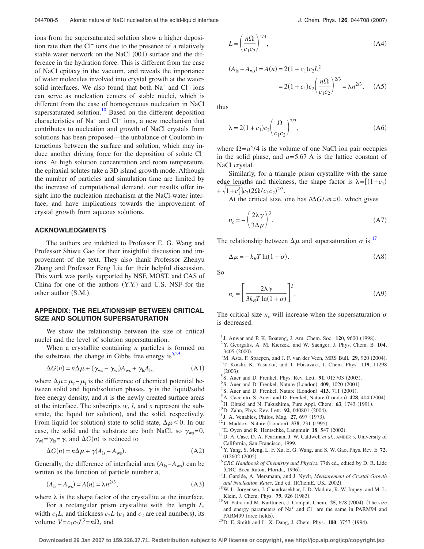ions from the supersaturated solution show a higher deposition rate than the Cl− ions due to the presence of a relatively stable water network on the NaCl (001) surface and the difference in the hydration force. This is different from the case of NaCl epitaxy in the vacuum, and reveals the importance of water molecules involved into crystal growth at the watersolid interfaces. We also found that both Na<sup>+</sup> and Cl<sup>−</sup> ions can serve as nucleation centers of stable nuclei, which is different from the case of homogeneous nucleation in NaCl supersaturated solution.<sup>10</sup> Based on the different deposition characteristics of Na+ and Cl− ions, a new mechanism that contributes to nucleation and growth of NaCl crystals from solutions has been proposed—the unbalance of Coulomb interactions between the surface and solution, which may induce another driving force for the deposition of solute Cl− ions. At high solution concentration and room temperature, the epitaxial solutes take a 3D island growth mode. Although the number of particles and simulation time are limited by the increase of computational demand, our results offer insight into the nucleation mechanism at the NaCl-water interface, and have implications towards the improvement of crystal growth from aqueous solutions.

### **ACKNOWLEDGMENTS**

The authors are indebted to Professor E. G. Wang and Professor Shiwu Gao for their insightful discussion and improvement of the text. They also thank Professor Zhenyu Zhang and Professor Feng Liu for their helpful discussion. This work was partly supported by NSF, MOST, and CAS of China for one of the authors (Y.Y.) and U.S. NSF for the other author (S.M.).

# **APPENDIX: THE RELATIONSHIP BETWEEN CRITICAL SIZE AND SOLUTION SUPERSATURATION**

We show the relationship between the size of critical nuclei and the level of solution supersaturation.

When a crystallite containing *n* particles is formed on the substrate, the change in Gibbs free energy is $5,29$  $5,29$ 

$$
\Delta G(n) = n\Delta\mu + (\gamma_{\rm ws} - \gamma_{\rm wl})A_{\rm ws} + \gamma_{\rm ls}A_{\rm ls},\tag{A1}
$$

where  $\Delta \mu = \mu_s - \mu_l$  is the difference of chemical potential between solid and liquid/solution phases,  $\gamma$  is the liquid/solid free energy density, and *A* is the newly created surface areas at the interface. The subscripts *w*, *l*, and *s* represent the substrate, the liquid (or solution), and the solid, respectively. From liquid (or solution) state to solid state,  $\Delta \mu < 0$ . In our case, the solid and the substrate are both NaCl, so  $\gamma_{\text{ws}}=0$ ,  $\gamma_{wl} = \gamma_{ls} = \gamma$ , and  $\Delta G(n)$  is reduced to

$$
\Delta G(n) = n\Delta\mu + \gamma(A_{\text{ls}} - A_{\text{ws}}). \tag{A2}
$$

Generally, the difference of interfacial area  $(A_{ls} - A_{ws})$  can be written as the function of particle number *n*,

$$
(A_{1s} - A_{ws}) = A(n) = \lambda n^{2/3},
$$
\n(A3)

where  $\lambda$  is the shape factor of the crystallite at the interface.

For a rectangular prism crystallite with the length *L*, width  $c_1L$ , and thickness  $c_2L$  ( $c_1$  and  $c_2$  are real numbers), its volume  $V = c_1 c_2 L^3 = n\Omega$ , and

$$
L = \left(\frac{n\Omega}{c_1 c_2}\right)^{1/3},\tag{A4}
$$

$$
(A1s - Aws) = A(n) = 2(1 + c1)c2L2
$$
  
= 2(1 + c<sub>1</sub>)c<sub>2</sub>  $\left(\frac{n\Omega}{c_1 c_2}\right)^{2/3} = \lambda n^{2/3},$  (A5)

thus

$$
\lambda = 2(1 + c_1)c_2 \left(\frac{\Omega}{c_1 c_2}\right)^{2/3},
$$
\n(A6)

where  $\Omega = a^3/4$  is the volume of one NaCl ion pair occupies in the solid phase, and  $a=5.67$  Å is the lattice constant of NaCl crystal.

Similarly, for a triangle prism crystallite with the same edge lengths and thickness, the shape factor is  $\lambda = [(1+c_1)]$  $+\sqrt{1+c_1^2}c_2(2\Omega/c_1c_2)^{2/3}.$ 

At the critical size, one has  $\partial \Delta G / \partial n = 0$ , which gives

$$
n_c = -\left(\frac{2\lambda\gamma}{3\Delta\mu}\right)^3.
$$
 (A7)

The relationship between  $\Delta \mu$  and supersaturation  $\sigma$  is:<sup>17</sup>

$$
\Delta \mu = -k_B T \ln(1 + \sigma). \tag{A8}
$$

So

$$
n_c = \left[\frac{2\lambda\gamma}{3k_BT\ln(1+\sigma)}\right]^3.
$$
 (A9)

The critical size  $n_c$  will increase when the supersaturation  $\sigma$ is decreased.

- <span id="page-4-0"></span><sup>1</sup>J. Anwar and P. K. Boateng, J. Am. Chem. Soc. **120**, 9600 (1998).
- Y. Georgalis, A. M. Kierzek, and W. Saenger, J. Phys. Chem. B **104**,  $3405$  (2000).<br> $3_{\text{M}}$  Asta, E.S.
- <span id="page-4-15"></span><sup>3</sup>M. Asta, F. Spaepen, and J. F. van der Veen, MRS Bull. **29**, 920 (2004).<br><sup>4</sup>T. Kojobi, K. Nasuaka, and T. Fhiouzaki, J. Cham. Phys. **110**, 11008
- T. Koishi, K. Yasuoka, and T. Ebisuzaki, J. Chem. Phys. **119**, 11298  $(2003)$ .
- <span id="page-4-16"></span><sup>S</sup>S. Auer and D. Frenkel, Phys. Rev. Lett. **91**, 015703 (2003).
- <span id="page-4-14"></span><sup>6</sup> S. Auer and D. Frenkel, Nature (London) **409**, 1020 (2001).
- S. Auer and D. Frenkel, Nature (London)  $\overline{413}$ ,  $\overline{711}$  (2001).
- <span id="page-4-5"></span><sup>8</sup> A. Cacciuto, S. Auer, and D. Frenkel, Nature (London)  $\overline{428}$ , 404 (2004).
- <span id="page-4-4"></span><sup>9</sup>H. Ohtaki and N. Fukushima, Pure Appl. Chem. **63**, 1743 (1991). <sup>10</sup>D. Zahn, Phys. Rev. Lett. **92**, 040801 (2004).
- 
- <span id="page-4-2"></span><span id="page-4-1"></span><sup>10</sup> D. Zahn, Phys. Rev. Lett. **92**, 040801 (2004).<br><sup>11</sup> J. A. Venables, Philos. Mag. **27**, 697 (1973). <sup>11</sup> J. A. Venables, Philos. Mag. **27**, 697 (1973).<br><sup>12</sup> J. Maddox, Nature (London) **378**, 231 (1995)
- <span id="page-4-3"></span>
- <span id="page-4-6"></span><sup>13</sup>E. Oyen and R. Hentschke, Langmuir **18**, 547 (2002).
- <span id="page-4-7"></span><sup>14</sup> D. A. Case, D. A. Pearlman, J. W. Caldwell *et al.*, AMBER 6, University of
- <span id="page-4-8"></span>California, San Francisco, 1999. 15Y. Yang, S. Meng, L. F. Xu, E. G. Wang, and S. W. Gao, Phys. Rev. E **<sup>72</sup>**, 012602 (2005).
- <span id="page-4-9"></span><sup>16</sup> CRC Handbook of Chemistry and Physics, 77th ed., edited by D. R. Lide (CRC Boca Raton, Florida, 1996).
- <span id="page-4-10"></span><sup>17</sup> J. Garside, A. Mersmann, and J. Nyvlt, *Measurement of Crystal Growth* and Nucleation Rates, 2nd ed. (IChemE, UK, 2002).
- <span id="page-4-11"></span><sup>18</sup> W. L. Jorgensen, J. Chandrasekhar, J. D. Madura, R. W. Impey, and M. L. Klein, J. Chem. Phys. **79**, 926 (1983). Klein, J. Chem. Phys. **79**, 926 (1983).<br><sup>19</sup>M. Patra and M. Karttunen, J. Comput. Chem. **25**, 678 (2004). (The size
- <span id="page-4-12"></span>and energy parameters of Na+ and Cl<sup>−</sup> are the same in PARM94 and PARM99 force fields). PARM99 force fields).<br><sup>20</sup>D. E. Smith and L. X. Dang, J. Chem. Phys. **100**, 3757 (1994).
- <span id="page-4-13"></span>